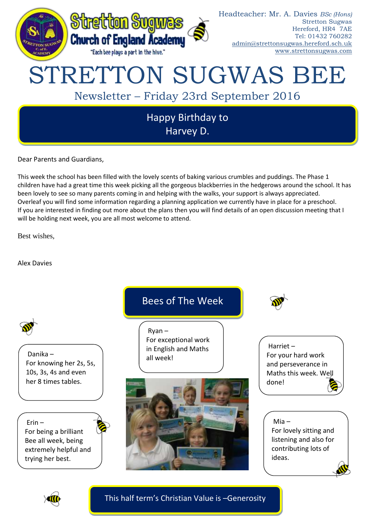

Dear Parents and Guardians,

This week the school has been filled with the lovely scents of baking various crumbles and puddings. The Phase 1 children have had a great time this week picking all the gorgeous blackberries in the hedgerows around the school. It has been lovely to see so many parents coming in and helping with the walks, your support is always appreciated. Overleaf you will find some information regarding a planning application we currently have in place for a preschool. If you are interested in finding out more about the plans then you will find details of an open discussion meeting that I will be holding next week, you are all most welcome to attend.

Best wishes,

Alex Davies





This half term's Christian Value is –Generosity